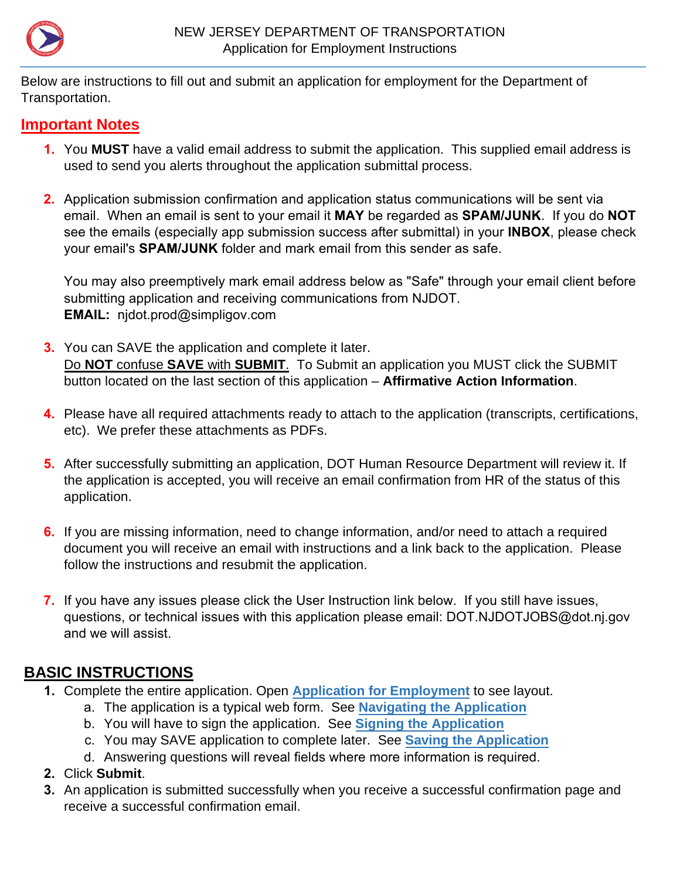<span id="page-0-0"></span>

Below are instructions to fill out and submit an application for employment for the Department of Transportation.

### **Important Notes**

- **1.** You **MUST** have a valid email address to submit the application. This supplied email address is used to send you alerts throughout the application submittal process.
- **2.** Application submission confirmation and application status communications will be sent via email. When an email is sent to your email it **MAY** be regarded as **SPAM/JUNK**. If you do **NOT** see the emails (especially app submission success after submittal) in your **INBOX**, please check your email's **SPAM/JUNK** folder and mark email from this sender as safe.

You may also preemptively mark email address below as "Safe" through your email client before submitting application and receiving communications from NJDOT. **EMAIL:** njdot.prod@simpligov.com

- **3.** You can SAVE the application and complete it later. Do **NOT** confuse **SAVE** with **SUBMIT**. To Submit an application you MUST click the SUBMIT button located on the last section of this application – **Affirmative Action Information**.
- **4.** Please have all required attachments ready to attach to the application (transcripts, certifications, etc). We prefer these attachments as PDFs.
- **5.** After successfully submitting an application, DOT Human Resource Department will review it. If the application is accepted, you will receive an email confirmation from HR of the status of this application.
- **6.** If you are missing information, need to change information, and/or need to attach a required document you will receive an email with instructions and a link back to the application. Please follow the instructions and resubmit the application.
- **7.** If you have any issues please click the User Instruction link below. If you still have issues, questions, or technical issues with this application please email: DOT.NJDOTJOBS@dot.nj.gov and we will assist.

## **BASIC INSTRUCTIONS**

- **1.** Complete the entire application. Open **[Application for Employment](https://www.state.nj.us/transportation/about/employ/pdf/DOT_HR_Application_User_Instructions_AppLayout.pdf)** to see layout.
	- a. The application is a typical web form. See **[Navigating the](#page-1-0) Application**
	- b. You will have to sign the application. See **[Signing the](#page-2-0) Application**
	- c. You may SAVE application to complete later. See **Saving the [Application](#page-1-0)**
	- d. Answering questions will reveal fields where more information is required.
- **2.** Click **Submit**.
- **3.** An application is submitted successfully when you receive a successful confirmation page and receive a successful confirmation email.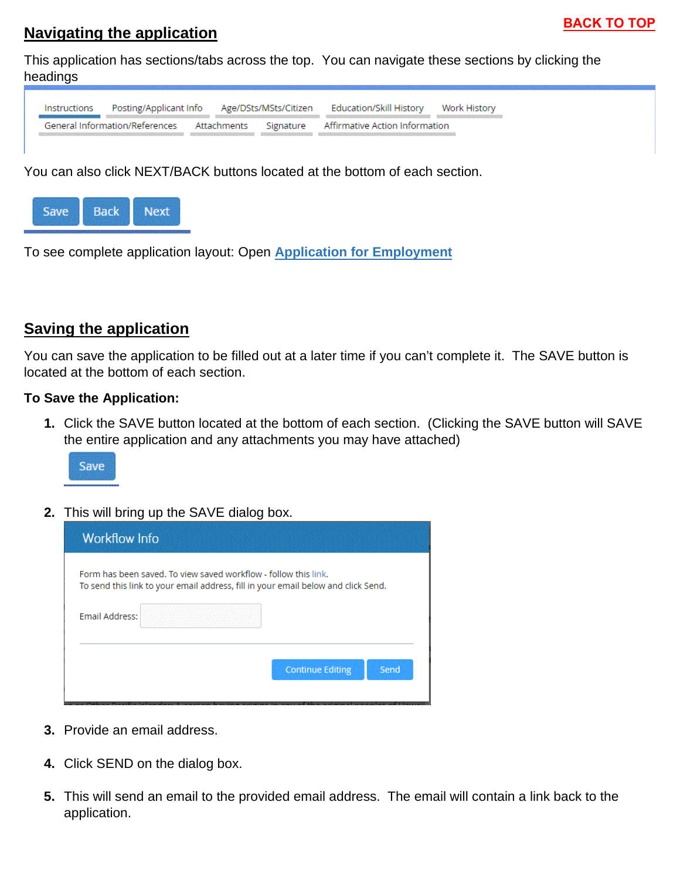### <span id="page-1-0"></span>**Navigating the application**

This application has sections/tabs across the top. You can navigate these sections by clicking the headings



You can also click NEXT/BACK buttons located at the bottom of each section.



To see complete application layout: Open **[Application for Employment](https://www.state.nj.us/transportation/about/employ/pdf/DOT_HR_Application_User_Instructions_AppLayout.pdf)**

## **Saving the application**

You can save the application to be filled out at a later time if you can't complete it. The SAVE button is located at the bottom of each section.

#### **To Save the Application:**

**1.** Click the SAVE button located at the bottom of each section. (Clicking the SAVE button will SAVE the entire application and any attachments you may have attached)



**2.** This will bring up the SAVE dialog box.

| <b>Workflow Info</b>  |                                                                                                                                                      |
|-----------------------|------------------------------------------------------------------------------------------------------------------------------------------------------|
|                       | Form has been saved. To view saved workflow - follow this link.<br>To send this link to your email address, fill in your email below and click Send. |
| <b>Email Address:</b> |                                                                                                                                                      |
|                       | Send<br><b>Continue Editing</b>                                                                                                                      |

- **3.** Provide an email address.
- **4.** Click SEND on the dialog box.
- **5.** This will send an email to the provided email address. The email will contain a link back to the application.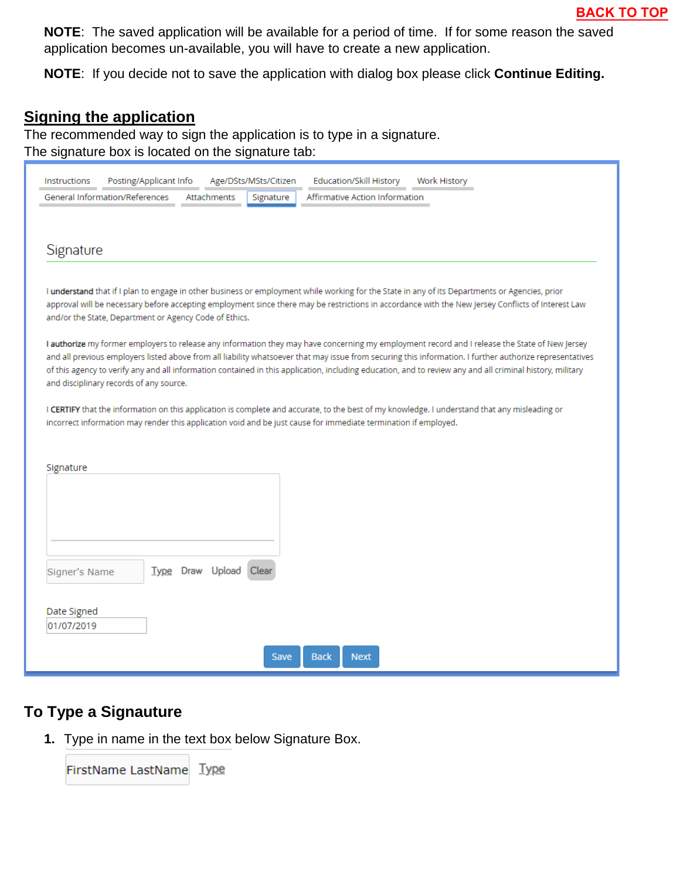<span id="page-2-0"></span>**NOTE**: The saved application will be available for a period of time. If for some reason the saved application becomes un-available, you will have to create a new application.

**NOTE**: If you decide not to save the application with dialog box please click **Continue Editing.**

#### **Signing the application**

The recommended way to sign the application is to type in a signature. The signature box is located on the signature tab:

| <b>Instructions</b>                     | Posting/Applicant Info<br>Age/DSts/MSts/Citizen                                                                                                | Education/Skill History<br>Work History                                                                                                                                                                                                                                                                    |
|-----------------------------------------|------------------------------------------------------------------------------------------------------------------------------------------------|------------------------------------------------------------------------------------------------------------------------------------------------------------------------------------------------------------------------------------------------------------------------------------------------------------|
| General Information/References          | Attachments<br>Signature                                                                                                                       | Affirmative Action Information                                                                                                                                                                                                                                                                             |
|                                         |                                                                                                                                                |                                                                                                                                                                                                                                                                                                            |
|                                         |                                                                                                                                                |                                                                                                                                                                                                                                                                                                            |
| Signature                               |                                                                                                                                                |                                                                                                                                                                                                                                                                                                            |
|                                         |                                                                                                                                                |                                                                                                                                                                                                                                                                                                            |
|                                         | I understand that if I plan to engage in other business or employment while working for the State in any of its Departments or Agencies, prior | approval will be necessary before accepting employment since there may be restrictions in accordance with the New Jersey Conflicts of Interest Law                                                                                                                                                         |
|                                         | and/or the State, Department or Agency Code of Ethics.                                                                                         |                                                                                                                                                                                                                                                                                                            |
|                                         |                                                                                                                                                |                                                                                                                                                                                                                                                                                                            |
|                                         |                                                                                                                                                | I authorize my former employers to release any information they may have concerning my employment record and I release the State of New Jersey<br>and all previous employers listed above from all liability whatsoever that may issue from securing this information. I further authorize representatives |
|                                         |                                                                                                                                                | of this agency to verify any and all information contained in this application, including education, and to review any and all criminal history, military                                                                                                                                                  |
| and disciplinary records of any source. |                                                                                                                                                |                                                                                                                                                                                                                                                                                                            |
|                                         | I CERTIFY that the information on this application is complete and accurate, to the best of my knowledge. I understand that any misleading or  |                                                                                                                                                                                                                                                                                                            |
|                                         | incorrect information may render this application void and be just cause for immediate termination if employed.                                |                                                                                                                                                                                                                                                                                                            |
|                                         |                                                                                                                                                |                                                                                                                                                                                                                                                                                                            |
|                                         |                                                                                                                                                |                                                                                                                                                                                                                                                                                                            |
| Signature                               |                                                                                                                                                |                                                                                                                                                                                                                                                                                                            |
|                                         |                                                                                                                                                |                                                                                                                                                                                                                                                                                                            |
|                                         |                                                                                                                                                |                                                                                                                                                                                                                                                                                                            |
|                                         |                                                                                                                                                |                                                                                                                                                                                                                                                                                                            |
|                                         |                                                                                                                                                |                                                                                                                                                                                                                                                                                                            |
|                                         |                                                                                                                                                |                                                                                                                                                                                                                                                                                                            |
| Signer's Name                           | Upload<br><b>Type Draw</b><br>Clear                                                                                                            |                                                                                                                                                                                                                                                                                                            |
|                                         |                                                                                                                                                |                                                                                                                                                                                                                                                                                                            |
| Date Signed                             |                                                                                                                                                |                                                                                                                                                                                                                                                                                                            |
| 01/07/2019                              |                                                                                                                                                |                                                                                                                                                                                                                                                                                                            |
|                                         |                                                                                                                                                |                                                                                                                                                                                                                                                                                                            |
|                                         | <b>Back</b><br>Save                                                                                                                            | <b>Next</b>                                                                                                                                                                                                                                                                                                |

#### **To Type a Signauture**

**1.** Type in name in the text box below Signature Box.

FirstName LastName Type